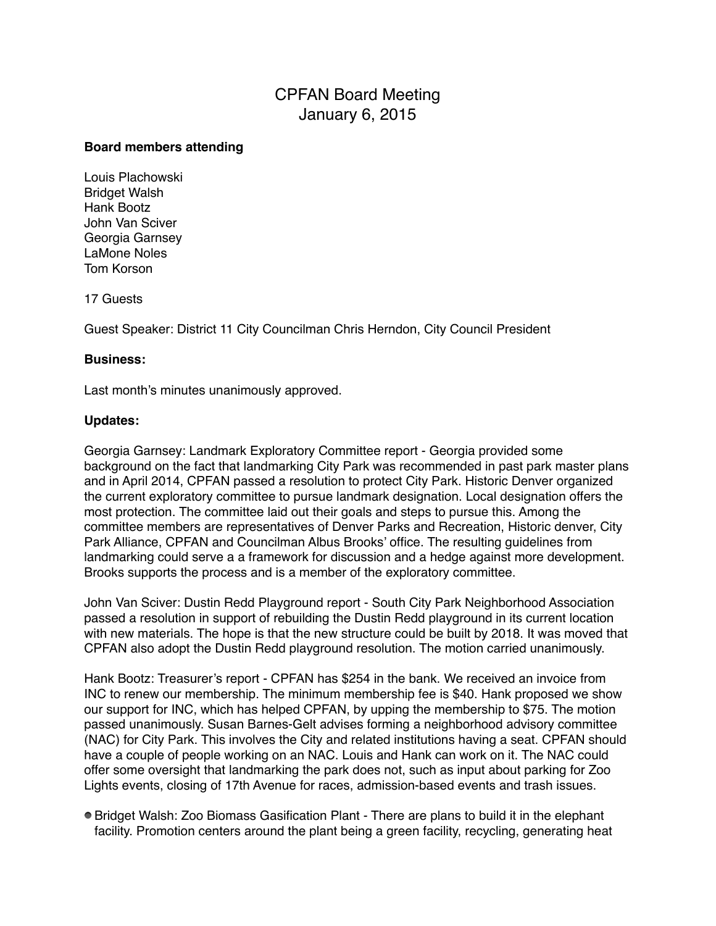# CPFAN Board Meeting January 6, 2015

#### **Board members attending**

Louis Plachowski Bridget Walsh Hank Bootz John Van Sciver Georgia Garnsey LaMone Noles Tom Korson

17 Guests

Guest Speaker: District 11 City Councilman Chris Herndon, City Council President

## **Business:**

Last month's minutes unanimously approved.

### **Updates:**

Georgia Garnsey: Landmark Exploratory Committee report - Georgia provided some background on the fact that landmarking City Park was recommended in past park master plans and in April 2014, CPFAN passed a resolution to protect City Park. Historic Denver organized the current exploratory committee to pursue landmark designation. Local designation offers the most protection. The committee laid out their goals and steps to pursue this. Among the committee members are representatives of Denver Parks and Recreation, Historic denver, City Park Alliance, CPFAN and Councilman Albus Brooks' office. The resulting guidelines from landmarking could serve a a framework for discussion and a hedge against more development. Brooks supports the process and is a member of the exploratory committee.

John Van Sciver: Dustin Redd Playground report - South City Park Neighborhood Association passed a resolution in support of rebuilding the Dustin Redd playground in its current location with new materials. The hope is that the new structure could be built by 2018. It was moved that CPFAN also adopt the Dustin Redd playground resolution. The motion carried unanimously.

Hank Bootz: Treasurer's report - CPFAN has \$254 in the bank. We received an invoice from INC to renew our membership. The minimum membership fee is \$40. Hank proposed we show our support for INC, which has helped CPFAN, by upping the membership to \$75. The motion passed unanimously. Susan Barnes-Gelt advises forming a neighborhood advisory committee (NAC) for City Park. This involves the City and related institutions having a seat. CPFAN should have a couple of people working on an NAC. Louis and Hank can work on it. The NAC could offer some oversight that landmarking the park does not, such as input about parking for Zoo Lights events, closing of 17th Avenue for races, admission-based events and trash issues.

Bridget Walsh: Zoo Biomass Gasification Plant - There are plans to build it in the elephant facility. Promotion centers around the plant being a green facility, recycling, generating heat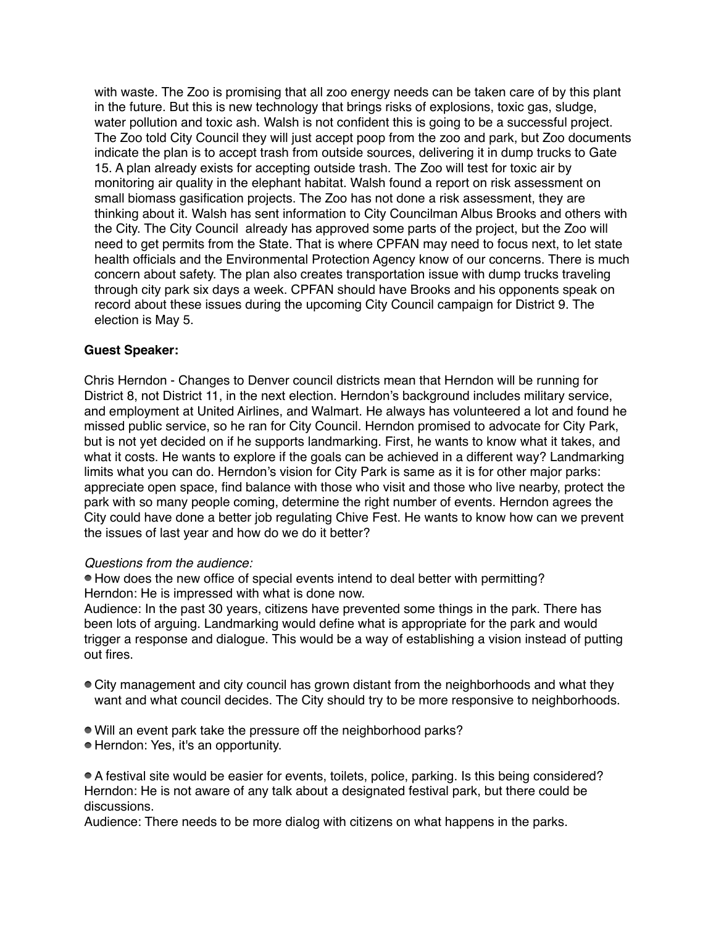with waste. The Zoo is promising that all zoo energy needs can be taken care of by this plant in the future. But this is new technology that brings risks of explosions, toxic gas, sludge, water pollution and toxic ash. Walsh is not confident this is going to be a successful project. The Zoo told City Council they will just accept poop from the zoo and park, but Zoo documents indicate the plan is to accept trash from outside sources, delivering it in dump trucks to Gate 15. A plan already exists for accepting outside trash. The Zoo will test for toxic air by monitoring air quality in the elephant habitat. Walsh found a report on risk assessment on small biomass gasification projects. The Zoo has not done a risk assessment, they are thinking about it. Walsh has sent information to City Councilman Albus Brooks and others with the City. The City Council already has approved some parts of the project, but the Zoo will need to get permits from the State. That is where CPFAN may need to focus next, to let state health officials and the Environmental Protection Agency know of our concerns. There is much concern about safety. The plan also creates transportation issue with dump trucks traveling through city park six days a week. CPFAN should have Brooks and his opponents speak on record about these issues during the upcoming City Council campaign for District 9. The election is May 5.

## **Guest Speaker:**

Chris Herndon - Changes to Denver council districts mean that Herndon will be running for District 8, not District 11, in the next election. Herndon's background includes military service, and employment at United Airlines, and Walmart. He always has volunteered a lot and found he missed public service, so he ran for City Council. Herndon promised to advocate for City Park, but is not yet decided on if he supports landmarking. First, he wants to know what it takes, and what it costs. He wants to explore if the goals can be achieved in a different way? Landmarking limits what you can do. Herndon's vision for City Park is same as it is for other major parks: appreciate open space, find balance with those who visit and those who live nearby, protect the park with so many people coming, determine the right number of events. Herndon agrees the City could have done a better job regulating Chive Fest. He wants to know how can we prevent the issues of last year and how do we do it better?

#### *Questions from the audience:*

How does the new office of special events intend to deal better with permitting? Herndon: He is impressed with what is done now.

Audience: In the past 30 years, citizens have prevented some things in the park. There has been lots of arguing. Landmarking would define what is appropriate for the park and would trigger a response and dialogue. This would be a way of establishing a vision instead of putting out fires.

- City management and city council has grown distant from the neighborhoods and what they want and what council decides. The City should try to be more responsive to neighborhoods.
- Will an event park take the pressure off the neighborhood parks?
- Herndon: Yes, it's an opportunity.

A festival site would be easier for events, toilets, police, parking. Is this being considered? Herndon: He is not aware of any talk about a designated festival park, but there could be discussions.

Audience: There needs to be more dialog with citizens on what happens in the parks.